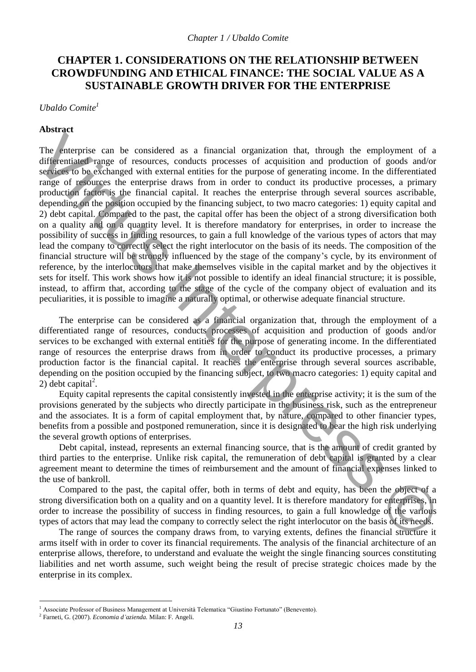# **CHAPTER 1. CONSIDERATIONS ON THE RELATIONSHIP BETWEEN CROWDFUNDING AND ETHICAL FINANCE: THE SOCIAL VALUE AS A SUSTAINABLE GROWTH DRIVER FOR THE ENTERPRISE**

*Ubaldo Comite 1*

## **Abstract**

The enterprise can be considered as a financial organization that, through the employment of a differentiated range of resources, conducts processes of acquisition and production of goods and/or services to be exchanged with external entities for the purpose of generating income. In the differentiated range of resources the enterprise draws from in order to conduct its productive processes, a primary production factor is the financial capital. It reaches the enterprise through several sources ascribable, depending on the position occupied by the financing subject, to two macro categories: 1) equity capital and 2) debt capital. Compared to the past, the capital offer has been the object of a strong diversification both on a quality and on a quantity level. It is therefore mandatory for enterprises, in order to increase the possibility of success in finding resources, to gain a full knowledge of the various types of actors that may lead the company to correctly select the right interlocutor on the basis of its needs. The composition of the financial structure will be strongly influenced by the stage of the company's cycle, by its environment of reference, by the interlocutors that make themselves visible in the capital market and by the objectives it sets for itself. This work shows how it is not possible to identify an ideal financial structure; it is possible, instead, to affirm that, according to the stage of the cycle of the company object of evaluation and its peculiarities, it is possible to imagine a naturally optimal, or otherwise adequate financial structure. The synteptics can be considered as a financial organization that, through the employment of a differential capital meass of required on a gradiento and products and reduction of gradient meass of a sequence of a capital

The enterprise can be considered as a financial organization that, through the employment of a differentiated range of resources, conducts processes of acquisition and production of goods and/or services to be exchanged with external entities for the purpose of generating income. In the differentiated range of resources the enterprise draws from in order to conduct its productive processes, a primary production factor is the financial capital. It reaches the enterprise through several sources ascribable, depending on the position occupied by the financing subject, to two macro categories: 1) equity capital and 2) debt capital<sup>2</sup>.

Equity capital represents the capital consistently invested in the enterprise activity; it is the sum of the provisions generated by the subjects who directly participate in the business risk, such as the entrepreneur and the associates. It is a form of capital employment that, by nature, compared to other financier types, benefits from a possible and postponed remuneration, since it is designated to bear the high risk underlying the several growth options of enterprises.

Debt capital, instead, represents an external financing source, that is the amount of credit granted by third parties to the enterprise. Unlike risk capital, the remuneration of debt capital is granted by a clear agreement meant to determine the times of reimbursement and the amount of financial expenses linked to the use of bankroll.

Compared to the past, the capital offer, both in terms of debt and equity, has been the object of a strong diversification both on a quality and on a quantity level. It is therefore mandatory for enterprises, in order to increase the possibility of success in finding resources, to gain a full knowledge of the various types of actors that may lead the company to correctly select the right interlocutor on the basis of its needs.

The range of sources the company draws from, to varying extents, defines the financial structure it arms itself with in order to cover its financial requirements. The analysis of the financial architecture of an enterprise allows, therefore, to understand and evaluate the weight the single financing sources constituting liabilities and net worth assume, such weight being the result of precise strategic choices made by the enterprise in its complex.

<sup>1</sup> Associate Professor of Business Management at Università Telematica "Giustino Fortunato" (Benevento).

<sup>2</sup> Farneti, G. (2007). *Economia d'azienda.* Milan: F. Angeli.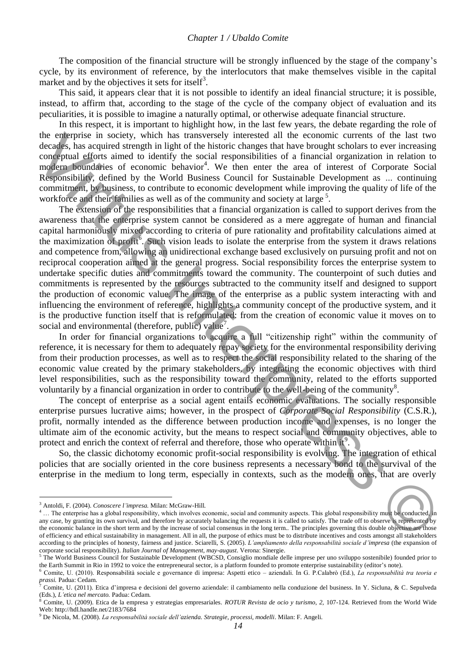The composition of the financial structure will be strongly influenced by the stage of the company's cycle, by its environment of reference, by the interlocutors that make themselves visible in the capital market and by the objectives it sets for itself<sup>3</sup>.

This said, it appears clear that it is not possible to identify an ideal financial structure; it is possible, instead, to affirm that, according to the stage of the cycle of the company object of evaluation and its peculiarities, it is possible to imagine a naturally optimal, or otherwise adequate financial structure.

In this respect, it is important to highlight how, in the last few years, the debate regarding the role of the enterprise in society, which has transversely interested all the economic currents of the last two decades, has acquired strength in light of the historic changes that have brought scholars to ever increasing conceptual efforts aimed to identify the social responsibilities of a financial organization in relation to modern boundaries of economic behavior<sup>4</sup>. We then enter the area of interest of Corporate Social Responsibility, defined by the World Business Council for Sustainable Development as *…* continuing commitment, by business, to contribute to economic development while improving the quality of life of the workforce and their families as well as of the community and society at large<sup>5</sup>.

The extension of the responsibilities that a financial organization is called to support derives from the awareness that the enterprise system cannot be considered as a mere aggregate of human and financial capital harmoniously mixed according to criteria of pure rationality and profitability calculations aimed at the maximization of profit<sup>6</sup>. Such vision leads to isolate the enterprise from the system it draws relations and competence from, allowing an unidirectional exchange based exclusively on pursuing profit and not on reciprocal cooperation aimed at the general progress. Social responsibility forces the enterprise system to undertake specific duties and commitments toward the community. The counterpoint of such duties and commitments is represented by the resources subtracted to the community itself and designed to support the production of economic value. The image of the enterprise as a public system interacting with and influencing the environment of reference, highlights a community concept of the productive system, and it is the productive function itself that is reformulated: from the creation of economic value it moves on to social and environmental (therefore, public) value<sup>7</sup>. the employite in society, which has transversely interested all the conomic current of the layer of the act two properties of a frame in the conomic consequent of the layer conomic consequent of the layer consequent of th

In order for financial organizations to acquire a full "citizenship right" within the community of reference, it is necessary for them to adequately repay society for the environmental responsibility deriving from their production processes, as well as to respect the social responsibility related to the sharing of the economic value created by the primary stakeholders, by integrating the economic objectives with third level responsibilities, such as the responsibility toward the community, related to the efforts supported voluntarily by a financial organization in order to contribute to the well-being of the community<sup>8</sup>.

The concept of enterprise as a social agent entails economic evaluations. The socially responsible enterprise pursues lucrative aims; however, in the prospect of *Corporate Social Responsibility* (C.S.R.), profit, normally intended as the difference between production income and expenses, is no longer the ultimate aim of the economic activity, but the means to respect social and community objectives, able to protect and enrich the context of referral and therefore, those who operate within it<sup>9</sup>.

So, the classic dichotomy economic profit-social responsibility is evolving. The integration of ethical policies that are socially oriented in the core business represents a necessary bond to the survival of the enterprise in the medium to long term, especially in contexts, such as the modern ones, that are overly

<sup>3</sup> Antoldi, F. (2004). *Conoscere l'impresa.* Milan: McGraw-Hill.

<sup>4</sup> … The enterprise has a global responsibility, which involves economic, social and community aspects. This global responsibility must be conducted, in any case, by granting its own survival, and therefore by accurately balancing the requests it is called to satisfy. The trade off to observe is represented by the economic balance in the short term and by the increase of social consensus in the long term.. The principles governing this double objective are those of efficiency and ethical sustainability in management. All in all, the purpose of ethics must be to distribute incentives and costs amongst all stakeholders according to the principles of honesty, fairness and justice*.* Sciarelli, S. (2005). *L'ampliamento della responsabilità sociale d'impresa* (the expansion of corporate social responsibility). *Italian Journal of Management, may-august*. Verona: Sinergie.

 $5$  The World Business Council for Sustainable Development (WBCSD, Consiglio mondiale delle imprese per uno sviluppo sostenibile) founded prior to the Earth Summit in Rio in 1992 to voice the entrepreneural sector, is a platform founded to promote enterprise sustainability (editor's note).

<sup>6</sup> Comite, U. (2010). Responsabilità sociale e governance di impresa: Aspetti etico – aziendali. In G. P.Calabrò (Ed.), *La responsabilità tra teoria e prassi.* Padua: Cedam.

<sup>7</sup> Comite, U. (2011). Etica d'impresa e decisioni del governo aziendale: il cambiamento nella conduzione del business. In Y. Sicluna, & C. Sepulveda (Eds.), *L'etica nel mercato.* Padua: Cedam.

<sup>8</sup> Comite, U. (2009). Etica de la empresa y estrategias empresariales. *ROTUR Revista de ocio y turismo, 2,* 107-124. Retrieved from the World Wide Web: http://hdl.handle.net/2183/7684

<sup>9</sup> De Nicola, M. (2008). *La responsabilità sociale dell'azienda. Strategie, processi, modelli*. Milan: F. Angeli.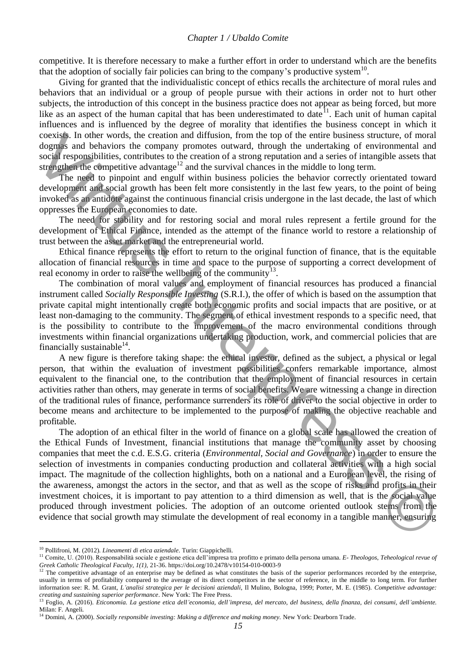#### *Chapter 1 / Ubaldo Comite*

competitive. It is therefore necessary to make a further effort in order to understand which are the benefits that the adoption of socially fair policies can bring to the company's productive system $10$ .

Giving for granted that the individualistic concept of ethics recalls the architecture of moral rules and behaviors that an individual or a group of people pursue with their actions in order not to hurt other subjects, the introduction of this concept in the business practice does not appear as being forced, but more like as an aspect of the human capital that has been underestimated to date<sup>11</sup>. Each unit of human capital influences and is influenced by the degree of morality that identifies the business concept in which it coexists. In other words, the creation and diffusion, from the top of the entire business structure, of moral dogmas and behaviors the company promotes outward, through the undertaking of environmental and social responsibilities, contributes to the creation of a strong reputation and a series of intangible assets that strengthen the competitive advantage<sup>12</sup> and the survival chances in the middle to long term.

The need to pinpoint and engulf within business policies the behavior correctly orientated toward development and social growth has been felt more consistently in the last few years, to the point of being invoked as an antidote against the continuous financial crisis undergone in the last decade, the last of which oppresses the European economies to date.

The need for stability and for restoring social and moral rules represent a fertile ground for the development of Ethical Finance, intended as the attempt of the finance world to restore a relationship of trust between the asset market and the entrepreneurial world.

Ethical finance represents the effort to return to the original function of finance, that is the equitable allocation of financial resources in time and space to the purpose of supporting a correct development of real economy in order to raise the wellbeing of the community  $13$ .

The combination of moral values and employment of financial resources has produced a financial instrument called *Socially Responsible Investing* (S.R.I.), the offer of which is based on the assumption that private capital might intentionally create both economic profits and social impacts that are positive, or at least non-damaging to the community. The segment of ethical investment responds to a specific need, that is the possibility to contribute to the improvement of the macro environmental conditions through investments within financial organizations undertaking production, work, and commercial policies that are financially sustainable $^{14}$ .

A new figure is therefore taking shape: the ethical investor, defined as the subject, a physical or legal person, that within the evaluation of investment possibilities confers remarkable importance, almost equivalent to the financial one, to the contribution that the employment of financial resources in certain activities rather than others, may generate in terms of social benefits. We are witnessing a change in direction of the traditional rules of finance, performance surrenders its role of driver to the social objective in order to become means and architecture to be implemented to the purpose of making the objective reachable and profitable.

The adoption of an ethical filter in the world of finance on a global scale has allowed the creation of the Ethical Funds of Investment, financial institutions that manage the community asset by choosing companies that meet the c.d. E.S.G. criteria (*Environmental, Social and Governance*) in order to ensure the selection of investments in companies conducting production and collateral activities with a high social impact. The magnitude of the collection highlights, both on a national and a European level, the rising of the awareness, amongst the actors in the sector, and that as well as the scope of risks and profits in their investment choices, it is important to pay attention to a third dimension as well, that is the social value produced through investment policies. The adoption of an outcome oriented outlook stems from the evidence that social growth may stimulate the development of real economy in a tangible manner, ensuring coestist In other words, the creation and diffusion, from the top of the entire business structure. of most oscillates, controlling the understanding of eviryonmental and staring limits. controlline controlline controlline

<sup>10</sup> Pollifroni, M. (2012). *Lineamenti di etica aziendale*. Turin: Giappichelli.

<sup>11</sup> Comite, U. (2010). Responsabilità sociale e gestione etica dell'impresa tra profitto e primato della persona umana. *E- Theologos, Teheological revue of Greek Catholic Theological Faculty, 1(1), 21-36.* https://doi.org/10.2478/v10154-010-0003-9<br><sup>12</sup> The composition education of the composition of the composition of the composition

The competitive advantage of an enterprise may be defined as what constitutes the basis of the superior performances recorded by the enterprise, usually in terms of profitability compared to the average of its direct competitors in the sector of reference, in the middle to long term. For further information see: R. M. Grant, *L'analisi strategica per le decisioni aziendali*, Il Mulino, Bologna, 1999; Porter, M. E. (1985). *Competitive advantage:* 

creating and sustaining superior performance. New York: The Free Press.<br><sup>13</sup> Foglio, A. (2016). Eticonomia. La gestione etica dell'economia, dell'impresa, del mercato, del business, della finanza, dei consumi, dell'ambient Milan: F. Angeli.

<sup>&</sup>lt;sup>14</sup> Domini, A. (2000). *Socially responsible investing: Making a difference and making money*. New York: Dearborn Trade.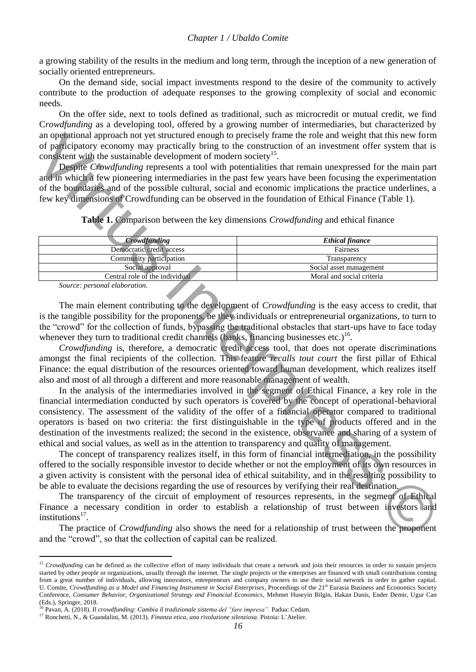a growing stability of the results in the medium and long term, through the inception of a new generation of socially oriented entrepreneurs.

On the demand side, social impact investments respond to the desire of the community to actively contribute to the production of adequate responses to the growing complexity of social and economic needs.

On the offer side, next to tools defined as traditional, such as microcredit or mutual credit, we find C*rowdfunding* as a developing tool, offered by a growing number of intermediaries, but characterized by an operational approach not yet structured enough to precisely frame the role and weight that this new form of participatory economy may practically bring to the construction of an investment offer system that is consistent with the sustainable development of modern society<sup>15</sup>.

Despite *Crowdfunding* represents a tool with potentialities that remain unexpressed for the main part and in which a few pioneering intermediaries in the past few years have been focusing the experimentation of the boundaries and of the possible cultural, social and economic implications the practice underlines, a few key dimensions of Crowdfunding can be observed in the foundation of Ethical Finance (Table 1).

**Table 1.** Comparison between the key dimensions *Crowdfunding* and ethical finance

| <b><i>Crowdfunding</i></b>     | <b>Ethical finance</b>    |
|--------------------------------|---------------------------|
| Democratic credit access       | Fairness                  |
| Community participation        | Transparency              |
| Social approval                | Social asset management   |
| Central role of the individual | Moral and social criteria |
| Source: personal elaboration.  |                           |

*Source: personal elaboration.*

 $\overline{a}$ 

The main element contributing to the development of *Crowdfunding* is the easy access to credit, that is the tangible possibility for the proponents, be they individuals or entrepreneurial organizations, to turn to the "crowd" for the collection of funds, bypassing the traditional obstacles that start-ups have to face today whenever they turn to traditional credit channels (banks, financing businesses etc.)<sup>16</sup>.

*Crowdfunding* is, therefore, a democratic credit access tool, that does not operate discriminations amongst the final recipients of the collection. This feature *recalls tout court* the first pillar of Ethical Finance: the equal distribution of the resources oriented toward human development, which realizes itself also and most of all through a different and more reasonable management of wealth.

In the analysis of the intermediaries involved in the segment of Ethical Finance, a key role in the financial intermediation conducted by such operators is covered by the concept of operational-behavioral consistency. The assessment of the validity of the offer of a financial operator compared to traditional operators is based on two criteria: the first distinguishable in the type of products offered and in the destination of the investments realized; the second in the existence, observance and sharing of a system of ethical and social values, as well as in the attention to transparency and quality of management. an one philosonial approach not verture of the presist) from the tole and weight hand this new form the constrained be electron with the setsimal the setsimal the setsimal the setsimal the setsimal consideration of an ins

The concept of transparency realizes itself, in this form of financial intermediation, in the possibility offered to the socially responsible investor to decide whether or not the employment of its own resources in a given activity is consistent with the personal idea of ethical suitability, and in the resulting possibility to be able to evaluate the decisions regarding the use of resources by verifying their real destination.

The transparency of the circuit of employment of resources represents, in the segment of Ethical Finance a necessary condition in order to establish a relationship of trust between investors and institutions<sup>17</sup>.

The practice of *Crowdfunding* also shows the need for a relationship of trust between the proponent and the "crowd", so that the collection of capital can be realized.

<sup>&</sup>lt;sup>15</sup> *Crowdfunding* can be defined as the collective effort of many individuals that create a network and join their resources in order to sustain projects started by other people or organizations, usually through the internet. The single projects or the enterprises are financed with small contributions coming from a great number of individuals, allowing innovators, entrepreneurs and company owners to use their social network in order to gather capital. U. Comite, *Crowdfunding as a Model and Financing Instrument in Social Enterprises*, Proceedings of the 21<sup>st</sup> Eurasia Business and Economics Society Conference, *Consumer Behavior, Organizational Strategy and Financial Economics*, Mehmet Huseyin Bilgin, Hakan Danis, Ender Demir, Ugur Can (Eds.), Springer, 2018.

<sup>16</sup> Pavan, A. (2018). *Il crowdfunding: Cambia il tradizionale sistema del "fare impresa".* Padua: Cedam.

<sup>17</sup> Ronchetti, N., & Guandalini, M. (2013). *Finanza etica, una rivoluzione silenziosa.* Pistoia: L'Atelier.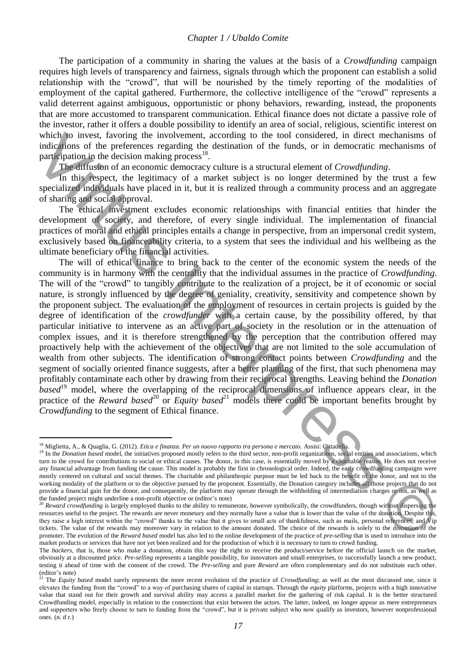#### *Chapter 1 / Ubaldo Comite*

The participation of a community in sharing the values at the basis of a *Crowdfunding* campaign requires high levels of transparency and fairness, signals through which the proponent can establish a solid relationship with the "crowd", that will be nourished by the timely reporting of the modalities of employment of the capital gathered. Furthermore, the collective intelligence of the "crowd" represents a valid deterrent against ambiguous, opportunistic or phony behaviors, rewarding, instead, the proponents that are more accustomed to transparent communication. Ethical finance does not dictate a passive role of the investor, rather it offers a double possibility to identify an area of social, religious, scientific interest on which to invest, favoring the involvement, according to the tool considered, in direct mechanisms of indications of the preferences regarding the destination of the funds, or in democratic mechanisms of participation in the decision making process<sup>18</sup>.

The diffusion of an economic democracy culture is a structural element of *Crowdfunding*.

In this respect, the legitimacy of a market subject is no longer determined by the trust a few specialized individuals have placed in it, but it is realized through a community process and an aggregate of sharing and social approval.

The ethical investment excludes economic relationships with financial entities that hinder the development of society, and therefore, of every single individual. The implementation of financial practices of moral and ethical principles entails a change in perspective, from an impersonal credit system, exclusively based on financeability criteria, to a system that sees the individual and his wellbeing as the ultimate beneficiary of the financial activities.

The will of ethical finance to bring back to the center of the economic system the needs of the community is in harmony with the centrality that the individual assumes in the practice of *Crowdfunding*. The will of the "crowd" to tangibly contribute to the realization of a project, be it of economic or social nature, is strongly influenced by the degree of geniality, creativity, sensitivity and competence shown by the proponent subject. The evaluation of the employment of resources in certain projects is guided by the degree of identification of the *crowdfunder* with a certain cause, by the possibility offered, by that particular initiative to intervene as an active part of society in the resolution or in the attenuation of complex issues, and it is therefore strengthened by the perception that the contribution offered may proactively help with the achievement of the objectives that are not limited to the sole accumulation of wealth from other subjects. The identification of strong contact points between *Crowdfunding* and the segment of socially oriented finance suggests, after a better planning of the first, that such phenomena may profitably contaminate each other by drawing from their reciprocal strengths. Leaving behind the *Donation based*<sup>19</sup> model, where the overlapping of the reciprocal dimensions of influence appears clear, in the practice of the *Reward based*<sup>20</sup> or *Equity based*<sup>21</sup> models there could be important benefits brought by *Crowdfunding* to the segment of Ethical finance. which by invest, favoring the involvement, according to the tool considered, in direct mechanisms of participation in the chesion condition, the decision material participation in the chesion material participation in the

<sup>18</sup> Miglietta, A., & Quaglia, G. (2012). *Etica e finanza. Per un nuovo rapporto tra persona e mercato.* Assisi: Cittadella.

<sup>&</sup>lt;sup>19</sup> In the *Donation based* model, the initiatives proposed mostly refers to the third sector, non-profit organizations, social entities and associations, which turn to the crowd for contributions to social or ethical causes. The donor, in this case, is essentially moved by a charitable reason. He does not receive any financial advantage from funding the cause. This model is probably the first in chronological order. Indeed, the early crowdfunding campaigns were mostly centered on cultural and social themes. The charitable and philanthropic purpose must be led back to the benefit of the donor, and not to the working modality of the platform or to the objective pursued by the proponent. Essentially, the Donation category includes all those projects that do not provide a financial gain for the donor, and consequently, the platform may operate through the withholding of intermediation charges or not, as well as the funded project might underline a non-profit objective or (editor's note)

<sup>&</sup>lt;sup>20</sup> Reward crowdfunding is largely employed thanks to the ability to remunerate, however symbolically, the crowdfunders, though without dispersing the resources useful to the project. The rewards are never monetary and they normally have a value that is lower than the value of the donation. Despite this, they raise a high interest within the "crowd" thanks to the value that it gives to small acts of thankfulness, such as mails, personal references, and Vip tickets. The value of the rewards may moreover vary in relation to the amount donated. The choice of the rewards is solely to the discretion of the promoter. The evolution of the *Reward based* model has also led to the online development of the practice of *pre-selling* that is used to introduce into the market products or services that have not yet been realized and for the production of which it is necessary to turn to crowd funding.

The *backers*, that is, those who make a donation, obtain this way the right to receive the product/service before the official launch on the market, obviously at a discounted price. *Pre-selling* represents a tangible possibility, for innovators and small enterprises, to successfully launch a new product, testing it ahead of time with the consent of the crowd. The *Pre-selling* and pure *Reward* are often complementary and do not substitute each other. (editor's note)

<sup>&</sup>lt;sup>21</sup> The *Equity based* model surely represents the more recent evolution of the practice of *Crowdfunding*; as well as the most discussed one, since it elevates the funding from the "crowd" to a way of purchasing shares of capital in startups. Through the *equity* platforms, projects with a high innovative value that stand out for their growth and survival ability may access a parallel market for the gathering of risk capital. It is the better structured Crowdfunding model, especially in relation to the connections that exist between the actors. The latter, indeed, no longer appear as mere entrepreneurs and supporters who freely choose to turn to funding from the "crowd", but it is private subject who now qualify as investors, however nonprofessional ones. (n. d r.)